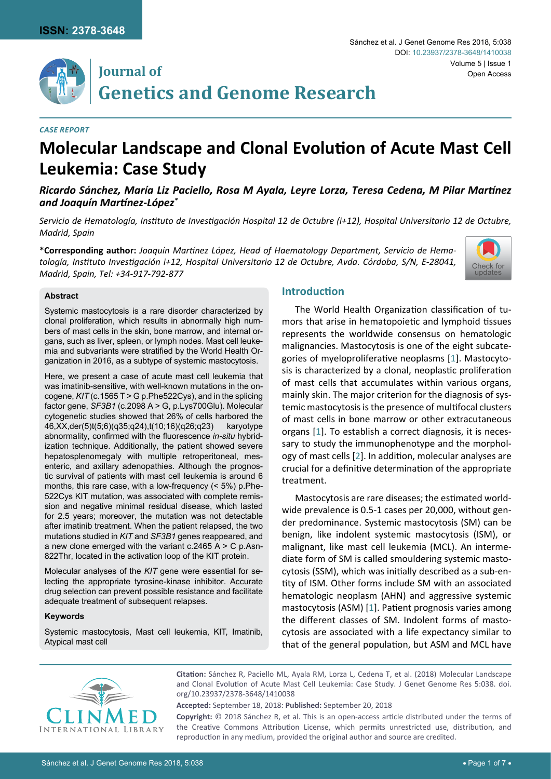

## **Journal of Genetics and Genome Research**

#### *Case Report*

# **Molecular Landscape and Clonal Evolution of Acute Mast Cell Leukemia: Case Study**

*Ricardo Sánchez, María Liz Paciello, Rosa M Ayala, Leyre Lorza, Teresa Cedena, M Pilar Martínez and Joaquín Martínez-López\**

*Servicio de Hematología, Instituto de Investigación Hospital 12 de Octubre (i+12), Hospital Universitario 12 de Octubre, Madrid, Spain*

**\*Corresponding author:** *Joaquín Martínez López, Head of Haematology Department, Servicio de Hematología, Instituto Investigación i+12, Hospital Universitario 12 de Octubre, Avda. Córdoba, S/N, E-28041, Madrid, Spain, Tel: +34-917-792-877*



#### **Abstract**

Systemic mastocytosis is a rare disorder characterized by clonal proliferation, which results in abnormally high numbers of mast cells in the skin, bone marrow, and internal organs, such as liver, spleen, or lymph nodes. Mast cell leukemia and subvariants were stratified by the World Health Organization in 2016, as a subtype of systemic mastocytosis.

Here, we present a case of acute mast cell leukemia that was imatinib-sensitive, with well-known mutations in the oncogene, *KIT* (c.1565 T > G p.Phe522Cys), and in the splicing factor gene, *SF3B1* (c.2098 A > G, p.Lys700Glu). Molecular cytogenetic studies showed that 26% of cells harbored the 46,XX,der(5)t(5;6)(q35;q24),t(10;16)(q26;q23) karyotype abnormality, confirmed with the fluorescence *in-situ* hybridization technique. Additionally, the patient showed severe hepatosplenomegaly with multiple retroperitoneal, mesenteric, and axillary adenopathies. Although the prognostic survival of patients with mast cell leukemia is around 6 months, this rare case, with a low-frequency (< 5%) p.Phe-522Cys KIT mutation, was associated with complete remission and negative minimal residual disease, which lasted for 2.5 years; moreover, the mutation was not detectable after imatinib treatment. When the patient relapsed, the two mutations studied in *KIT* and *SF3B1* genes reappeared, and a new clone emerged with the variant  $c.2465$  A  $>$  C p.Asn-822Thr, located in the activation loop of the KIT protein.

Molecular analyses of the *KIT* gene were essential for selecting the appropriate tyrosine-kinase inhibitor. Accurate drug selection can prevent possible resistance and facilitate adequate treatment of subsequent relapses.

#### **Keywords**

Systemic mastocytosis, Mast cell leukemia, KIT, Imatinib, Atypical mast cell

## **Introduction**

The World Health Organization classification of tumors that arise in hematopoietic and lymphoid tissues represents the worldwide consensus on hematologic malignancies. Mastocytosis is one of the eight subcategories of myeloproliferative neoplasms [[1\]](#page-5-0). Mastocytosis is characterized by a clonal, neoplastic proliferation of mast cells that accumulates within various organs, mainly skin. The major criterion for the diagnosis of systemic mastocytosis is the presence of multifocal clusters of mast cells in bone marrow or other extracutaneous organs [[1](#page-5-0)]. To establish a correct diagnosis, it is necessary to study the immunophenotype and the morphology of mast cells [[2](#page-5-1)]. In addition, molecular analyses are crucial for a definitive determination of the appropriate treatment.

Mastocytosis are rare diseases; the estimated worldwide prevalence is 0.5-1 cases per 20,000, without gender predominance. Systemic mastocytosis (SM) can be benign, like indolent systemic mastocytosis (ISM), or malignant, like mast cell leukemia (MCL). An intermediate form of SM is called smouldering systemic mastocytosis (SSM), which was initially described as a sub-entity of ISM. Other forms include SM with an associated hematologic neoplasm (AHN) and aggressive systemic mastocytosis (ASM) [[1](#page-5-0)]. Patient prognosis varies among the different classes of SM. Indolent forms of mastocytosis are associated with a life expectancy similar to that of the general population, but ASM and MCL have



**Citation:** Sánchez R, Paciello ML, Ayala RM, Lorza L, Cedena T, et al. (2018) Molecular Landscape and Clonal Evolution of Acute Mast Cell Leukemia: Case Study. J Genet Genome Res 5:038. [doi.](https://doi.org/10.23937/2378-3648/1410038) [org/10.23937/2378-3648/1410038](https://doi.org/10.23937/2378-3648/1410038)

**Accepted:** September 18, 2018: **Published:** September 20, 2018

**Copyright:** © 2018 Sánchez R, et al. This is an open-access article distributed under the terms of the Creative Commons Attribution License, which permits unrestricted use, distribution, and reproduction in any medium, provided the original author and source are credited.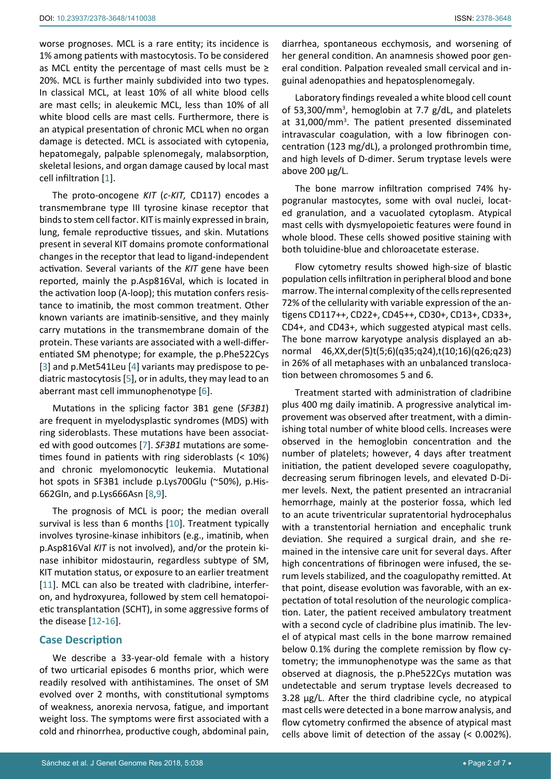worse prognoses. MCL is a rare entity; its incidence is 1% among patients with mastocytosis. To be considered as MCL entity the percentage of mast cells must be  $\geq$ 20%. MCL is further mainly subdivided into two types. In classical MCL, at least 10% of all white blood cells are mast cells; in aleukemic MCL, less than 10% of all white blood cells are mast cells. Furthermore, there is an atypical presentation of chronic MCL when no organ damage is detected. MCL is associated with cytopenia, hepatomegaly, palpable splenomegaly, malabsorption, skeletal lesions, and organ damage caused by local mast cell infiltration [[1\]](#page-5-0).

The proto-oncogene *KIT* (*c-KIT,* CD117) encodes a transmembrane type III tyrosine kinase receptor that binds to stem cell factor. KIT is mainly expressed in brain, lung, female reproductive tissues, and skin. Mutations present in several KIT domains promote conformational changes in the receptor that lead to ligand-independent activation. Several variants of the *KIT* gene have been reported, mainly the p.Asp816Val, which is located in the activation loop (A-loop); this mutation confers resistance to imatinib, the most common treatment. Other known variants are imatinib-sensitive, and they mainly carry mutations in the transmembrane domain of the protein. These variants are associated with a well-differentiated SM phenotype; for example, the p.Phe522Cys [[3](#page-5-2)] and p.Met541Leu [[4](#page-5-3)] variants may predispose to pediatric mastocytosis [\[5\]](#page-5-4), or in adults, they may lead to an aberrant mast cell immunophenotype [[6](#page-5-5)].

Mutations in the splicing factor 3B1 gene (*SF3B1*) are frequent in myelodysplastic syndromes (MDS) with ring sideroblasts. These mutations have been associated with good outcomes [[7](#page-5-6)]. *SF3B1* mutations are sometimes found in patients with ring sideroblasts (< 10%) and chronic myelomonocytic leukemia. Mutational hot spots in SF3B1 include p.Lys700Glu (~50%), p.His-662Gln, and p.Lys666Asn [[8](#page-5-7),[9](#page-5-8)].

The prognosis of MCL is poor; the median overall survival is less than 6 months [[10](#page-5-9)]. Treatment typically involves tyrosine-kinase inhibitors (e.g., imatinib, when p.Asp816Val *KIT* is not involved), and/or the protein kinase inhibitor midostaurin, regardless subtype of SM, KIT mutation status, or exposure to an earlier treatment [[11](#page-5-10)]. MCL can also be treated with cladribine, interferon, and hydroxyurea, followed by stem cell hematopoietic transplantation (SCHT), in some aggressive forms of the disease [[12](#page-5-11)[-16](#page-5-12)].

#### **Case Description**

We describe a 33-year-old female with a history of two urticarial episodes 6 months prior, which were readily resolved with antihistamines. The onset of SM evolved over 2 months, with constitutional symptoms of weakness, anorexia nervosa, fatigue, and important weight loss. The symptoms were first associated with a cold and rhinorrhea, productive cough, abdominal pain,

diarrhea, spontaneous ecchymosis, and worsening of her general condition. An anamnesis showed poor general condition. Palpation revealed small cervical and inguinal adenopathies and hepatosplenomegaly.

Laboratory findings revealed a white blood cell count of 53,300/mm<sup>3</sup>, hemoglobin at 7.7 g/dL, and platelets at 31,000/mm<sup>3</sup>. The patient presented disseminated intravascular coagulation, with a low fibrinogen concentration (123 mg/dL), a prolonged prothrombin time, and high levels of D-dimer. Serum tryptase levels were above  $200 \mu g/L$ .

The bone marrow infiltration comprised 74% hypogranular mastocytes, some with oval nuclei, located granulation, and a vacuolated cytoplasm. Atypical mast cells with dysmyelopoietic features were found in whole blood. These cells showed positive staining with both toluidine-blue and chloroacetate esterase.

Flow cytometry results showed high-size of blastic population cells infiltration in peripheral blood and bone marrow. The internal complexity of the cells represented 72% of the cellularity with variable expression of the antigens CD117++, CD22+, CD45++, CD30+, CD13+, CD33+, CD4+, and CD43+, which suggested atypical mast cells. The bone marrow karyotype analysis displayed an abnormal 46,XX,der(5)t(5;6)(q35;q24),t(10;16)(q26;q23) in 26% of all metaphases with an unbalanced translocation between chromosomes 5 and 6.

Treatment started with administration of cladribine plus 400 mg daily imatinib. A progressive analytical improvement was observed after treatment, with a diminishing total number of white blood cells. Increases were observed in the hemoglobin concentration and the number of platelets; however, 4 days after treatment initiation, the patient developed severe coagulopathy, decreasing serum fibrinogen levels, and elevated D-Dimer levels. Next, the patient presented an intracranial hemorrhage, mainly at the posterior fossa, which led to an acute triventricular supratentorial hydrocephalus with a transtentorial herniation and encephalic trunk deviation. She required a surgical drain, and she remained in the intensive care unit for several days. After high concentrations of fibrinogen were infused, the serum levels stabilized, and the coagulopathy remitted. At that point, disease evolution was favorable, with an expectation of total resolution of the neurologic complication. Later, the patient received ambulatory treatment with a second cycle of cladribine plus imatinib. The level of atypical mast cells in the bone marrow remained below 0.1% during the complete remission by flow cytometry; the immunophenotype was the same as that observed at diagnosis, the p.Phe522Cys mutation was undetectable and serum tryptase levels decreased to 3.28 µg/L. After the third cladribine cycle, no atypical mast cells were detected in a bone marrow analysis, and flow cytometry confirmed the absence of atypical mast cells above limit of detection of the assay (< 0.002%).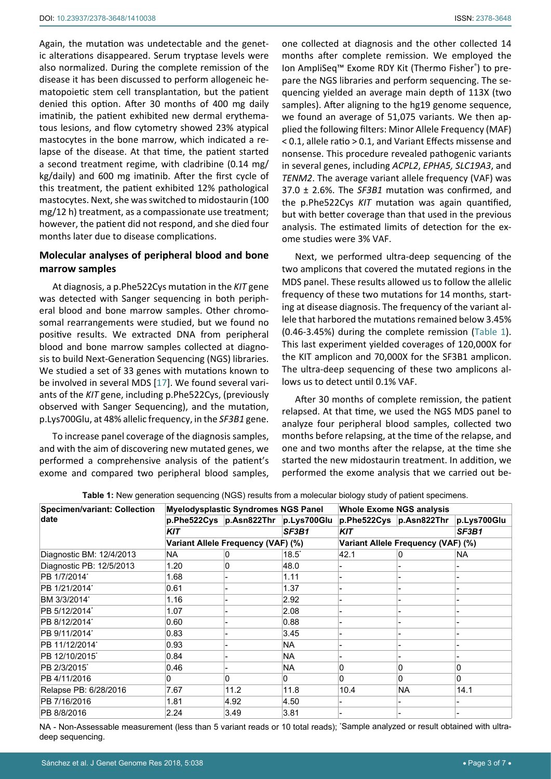Again, the mutation was undetectable and the genetic alterations disappeared. Serum tryptase levels were also normalized. During the complete remission of the disease it has been discussed to perform allogeneic hematopoietic stem cell transplantation, but the patient denied this option. After 30 months of 400 mg daily imatinib, the patient exhibited new dermal erythematous lesions, and flow cytometry showed 23% atypical mastocytes in the bone marrow, which indicated a relapse of the disease. At that time, the patient started a second treatment regime, with cladribine (0.14 mg/ kg/daily) and 600 mg imatinib. After the first cycle of this treatment, the patient exhibited 12% pathological mastocytes. Next, she was switched to midostaurin (100 mg/12 h) treatment, as a compassionate use treatment; however, the patient did not respond, and she died four months later due to disease complications.

## **Molecular analyses of peripheral blood and bone marrow samples**

At diagnosis, a p.Phe522Cys mutation in the *KIT* gene was detected with Sanger sequencing in both peripheral blood and bone marrow samples. Other chromosomal rearrangements were studied, but we found no positive results. We extracted DNA from peripheral blood and bone marrow samples collected at diagnosis to build Next-Generation Sequencing (NGS) libraries. We studied a set of 33 genes with mutations known to be involved in several MDS [\[17](#page-5-13)]. We found several variants of the *KIT* gene, including p.Phe522Cys, (previously observed with Sanger Sequencing), and the mutation, p.Lys700Glu, at 48% allelic frequency, in the *SF3B1* gene.

To increase panel coverage of the diagnosis samples, and with the aim of discovering new mutated genes, we performed a comprehensive analysis of the patient's exome and compared two peripheral blood samples, one collected at diagnosis and the other collected 14 months after complete remission. We employed the Ion AmpliSeq™ Exome RDY Kit (Thermo Fisher® ) to prepare the NGS libraries and perform sequencing. The sequencing yielded an average main depth of 113X (two samples). After aligning to the hg19 genome sequence, we found an average of 51,075 variants. We then applied the following filters: Minor Allele Frequency (MAF) < 0.1, allele ratio > 0.1, and Variant Effects missense and nonsense. This procedure revealed pathogenic variants in several genes, including *ACPL2*, *EPHA5, SLC19A3*, and *TENM2*. The average variant allele frequency (VAF) was 37.0 ± 2.6%. The *SF3B1* mutation was confirmed, and the p.Phe522Cys *KIT* mutation was again quantified, but with better coverage than that used in the previous analysis. The estimated limits of detection for the exome studies were 3% VAF.

Next, we performed ultra-deep sequencing of the two amplicons that covered the mutated regions in the MDS panel. These results allowed us to follow the allelic frequency of these two mutations for 14 months, starting at disease diagnosis. The frequency of the variant allele that harbored the mutations remained below 3.45% (0.46-3.45%) during the complete remission ([Table 1](#page-2-0)). This last experiment yielded coverages of 120,000X for the KIT amplicon and 70,000X for the SF3B1 amplicon. The ultra-deep sequencing of these two amplicons allows us to detect until 0.1% VAF.

After 30 months of complete remission, the patient relapsed. At that time, we used the NGS MDS panel to analyze four peripheral blood samples, collected two months before relapsing, at the time of the relapse, and one and two months after the relapse, at the time she started the new midostaurin treatment. In addition, we performed the exome analysis that we carried out be-

| <b>Specimen/variant: Collection</b><br>date | <b>Myelodysplastic Syndromes NGS Panel</b> |                                     |                | <b>Whole Exome NGS analysis</b>    |                         |             |
|---------------------------------------------|--------------------------------------------|-------------------------------------|----------------|------------------------------------|-------------------------|-------------|
|                                             |                                            | p.Phe522Cys p.Asn822Thr p.Lys700Glu |                |                                    | p.Phe522Cys p.Asn822Thr | p.Lys700Glu |
|                                             | <b>KIT</b>                                 |                                     | SF3B1          | <b>KIT</b>                         |                         | SF3B1       |
|                                             | Variant Allele Frequency (VAF) (%)         |                                     |                | Variant Allele Frequency (VAF) (%) |                         |             |
| Diagnostic BM: 12/4/2013                    | NA.                                        | 0                                   | $18.5^{\circ}$ | 42.1                               | 0                       | NA.         |
| Diagnostic PB: 12/5/2013                    | 1.20                                       | 0                                   | 48.0           |                                    |                         |             |
| PB 1/7/2014*                                | 1.68                                       |                                     | 1.11           |                                    |                         |             |
| PB 1/21/2014*                               | 0.61                                       |                                     | 1.37           |                                    |                         |             |
| BM 3/3/2014*                                | 1.16                                       |                                     | 2.92           |                                    |                         |             |
| PB 5/12/2014*                               | 1.07                                       |                                     | 2.08           |                                    |                         |             |
| PB 8/12/2014*                               | 0.60                                       |                                     | 0.88           |                                    |                         |             |
| PB 9/11/2014*                               | 0.83                                       |                                     | 3.45           |                                    |                         |             |
| PB 11/12/2014*                              | 0.93                                       |                                     | NA             |                                    |                         |             |
| PB 12/10/2015*                              | 0.84                                       |                                     | <b>NA</b>      |                                    |                         |             |
| PB 2/3/2015*                                | 0.46                                       |                                     | <b>NA</b>      | 0                                  | 0                       | 0           |
| PB 4/11/2016                                | 0                                          | 0                                   | 0              | $\mathbf{0}$                       | 0                       | 0           |
| Relapse PB: 6/28/2016                       | 7.67                                       | 11.2                                | 11.8           | 10.4                               | <b>NA</b>               | 14.1        |
| PB 7/16/2016                                | 1.81                                       | 4.92                                | 4.50           |                                    |                         |             |
| PB 8/8/2016                                 | 2.24                                       | 3.49                                | 3.81           |                                    |                         |             |

<span id="page-2-0"></span>**Table 1:** New generation sequencing (NGS) results from a molecular biology study of patient specimens.

NA - Non-Assessable measurement (less than 5 variant reads or 10 total reads); \* Sample analyzed or result obtained with ultradeep sequencing.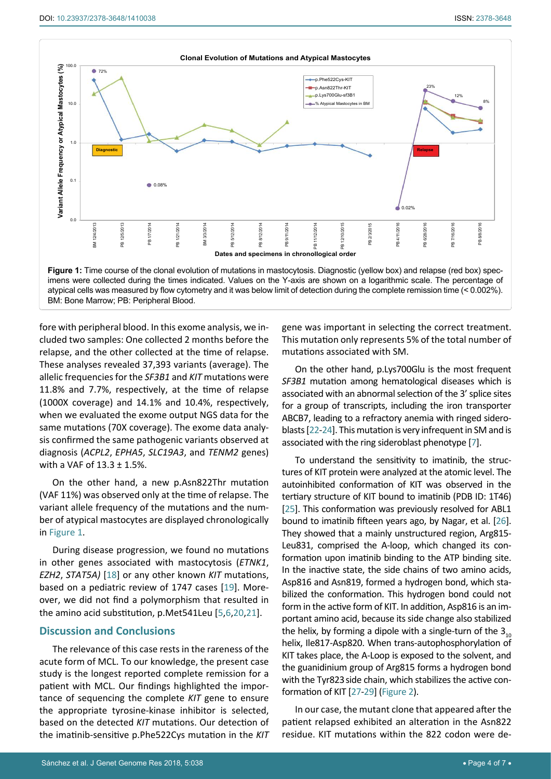<span id="page-3-0"></span>

fore with peripheral blood. In this exome analysis, we included two samples: One collected 2 months before the relapse, and the other collected at the time of relapse. These analyses revealed 37,393 variants (average). The allelic frequencies for the *SF3B1* and *KIT* mutations were 11.8% and 7.7%, respectively, at the time of relapse (1000X coverage) and 14.1% and 10.4%, respectively, when we evaluated the exome output NGS data for the same mutations (70X coverage). The exome data analysis confirmed the same pathogenic variants observed at diagnosis (*ACPL2*, *EPHA5*, *SLC19A3*, and *TENM2* genes) with a VAF of  $13.3 \pm 1.5$ %.

On the other hand, a new p.Asn822Thr mutation (VAF 11%) was observed only at the time of relapse. The variant allele frequency of the mutations and the number of atypical mastocytes are displayed chronologically in [Figure 1](#page-3-0).

During disease progression, we found no mutations in other genes associated with mastocytosis (*ETNK1*, *EZH2*, *STAT5A)* [[18](#page-5-14)] or any other known *KIT* mutations, based on a pediatric review of 1747 cases [[19](#page-5-15)]. Moreover, we did not find a polymorphism that resulted in the amino acid substitution, p.Met541Leu [[5](#page-5-4),[6](#page-5-5)[,20](#page-5-16)[,21](#page-6-0)].

#### **Discussion and Conclusions**

The relevance of this case rests in the rareness of the acute form of MCL. To our knowledge, the present case study is the longest reported complete remission for a patient with MCL. Our findings highlighted the importance of sequencing the complete *KIT* gene to ensure the appropriate tyrosine-kinase inhibitor is selected, based on the detected *KIT* mutations. Our detection of the imatinib-sensitive p.Phe522Cys mutation in the *KIT*

gene was important in selecting the correct treatment. This mutation only represents 5% of the total number of mutations associated with SM.

On the other hand, p.Lys700Glu is the most frequent *SF3B1* mutation among hematological diseases which is associated with an abnormal selection of the 3' splice sites for a group of transcripts, including the iron transporter ABCB7, leading to a refractory anemia with ringed sideroblasts [[22](#page-6-1)[-24\]](#page-6-2). This mutation is very infrequent in SM and is associated with the ring sideroblast phenotype [\[7](#page-5-6)].

To understand the sensitivity to imatinib, the structures of KIT protein were analyzed at the atomic level. The autoinhibited conformation of KIT was observed in the tertiary structure of KIT bound to imatinib (PDB ID: 1T46) [\[25\]](#page-5-4). This conformation was previously resolved for ABL1 bound to imatinib fifteen years ago, by Nagar, et al. [\[26](#page-6-3)]. They showed that a mainly unstructured region, Arg815- Leu831, comprised the A-loop, which changed its conformation upon imatinib binding to the ATP binding site. In the inactive state, the side chains of two amino acids, Asp816 and Asn819, formed a hydrogen bond, which stabilized the conformation. This hydrogen bond could not form in the active form of KIT. In addition, Asp816 is an important amino acid, because its side change also stabilized the helix, by forming a dipole with a single-turn of the  $3<sub>10</sub>$ helix, Ile817-Asp820. When trans-autophosphorylation of KIT takes place, the A-Loop is exposed to the solvent, and the guanidinium group of Arg815 forms a hydrogen bond with the Tyr823side chain, which stabilizes the active conformation of KIT [[27](#page-6-4)[-29](#page-6-5)] ([Figure 2\)](#page-4-0).

In our case, the mutant clone that appeared after the patient relapsed exhibited an alteration in the Asn822 residue. KIT mutations within the 822 codon were de-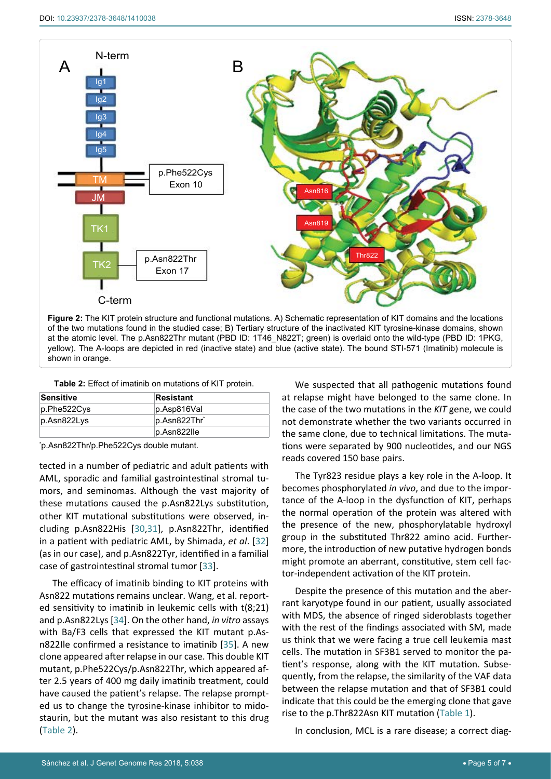<span id="page-4-0"></span>

**Figure 2:** The KIT protein structure and functional mutations. A) Schematic representation of KIT domains and the locations of the two mutations found in the studied case; B) Tertiary structure of the inactivated KIT tyrosine-kinase domains, shown at the atomic level. The p.Asn822Thr mutant (PBD ID: 1T46\_N822T; green) is overlaid onto the wild-type (PBD ID: 1PKG, yellow). The A-loops are depicted in red (inactive state) and blue (active state). The bound STI-571 (Imatinib) molecule is shown in orange.

<span id="page-4-1"></span>**Table 2:** Effect of imatinib on mutations of KIT protein.

| Sensitive   | Resistant      |
|-------------|----------------|
| p.Phe522Cys | p.Asp816Val    |
| p.Asn822Lys | p.Asn822Thr*   |
|             | $p.Asn822$ lle |

\* p.Asn822Thr/p.Phe522Cys double mutant.

tected in a number of pediatric and adult patients with AML, sporadic and familial gastrointestinal stromal tumors, and seminomas. Although the vast majority of these mutations caused the p.Asn822Lys substitution, other KIT mutational substitutions were observed, including p.Asn822His [\[30](#page-6-6),[31](#page-6-7)], p.Asn822Thr, identified in a patient with pediatric AML, by Shimada, *et al*. [\[32](#page-6-8)] (as in our case), and p.Asn822Tyr, identified in a familial case of gastrointestinal stromal tumor [[33](#page-6-9)].

The efficacy of imatinib binding to KIT proteins with Asn822 mutations remains unclear. Wang, et al. reported sensitivity to imatinib in leukemic cells with t(8;21) and p.Asn822Lys [[34](#page-6-10)]. On the other hand, *in vitro* assays with Ba/F3 cells that expressed the KIT mutant p.Asn822Ile confirmed a resistance to imatinib [\[35](#page-6-11)]. A new clone appeared after relapse in our case. This double KIT mutant, p.Phe522Cys/p.Asn822Thr, which appeared after 2.5 years of 400 mg daily imatinib treatment, could have caused the patient's relapse. The relapse prompted us to change the tyrosine-kinase inhibitor to midostaurin, but the mutant was also resistant to this drug ([Table 2](#page-4-1)).

We suspected that all pathogenic mutations found at relapse might have belonged to the same clone. In the case of the two mutations in the *KIT* gene, we could not demonstrate whether the two variants occurred in the same clone, due to technical limitations. The mutations were separated by 900 nucleotides, and our NGS reads covered 150 base pairs.

The Tyr823 residue plays a key role in the A-loop. It becomes phosphorylated *in vivo*, and due to the importance of the A-loop in the dysfunction of KIT, perhaps the normal operation of the protein was altered with the presence of the new, phosphorylatable hydroxyl group in the substituted Thr822 amino acid. Furthermore, the introduction of new putative hydrogen bonds might promote an aberrant, constitutive, stem cell factor-independent activation of the KIT protein.

Despite the presence of this mutation and the aberrant karyotype found in our patient, usually associated with MDS, the absence of ringed sideroblasts together with the rest of the findings associated with SM, made us think that we were facing a true cell leukemia mast cells. The mutation in SF3B1 served to monitor the patient's response, along with the KIT mutation. Subsequently, from the relapse, the similarity of the VAF data between the relapse mutation and that of SF3B1 could indicate that this could be the emerging clone that gave rise to the p.Thr822Asn KIT mutation [\(Table 1](#page-2-0)).

In conclusion, MCL is a rare disease; a correct diag-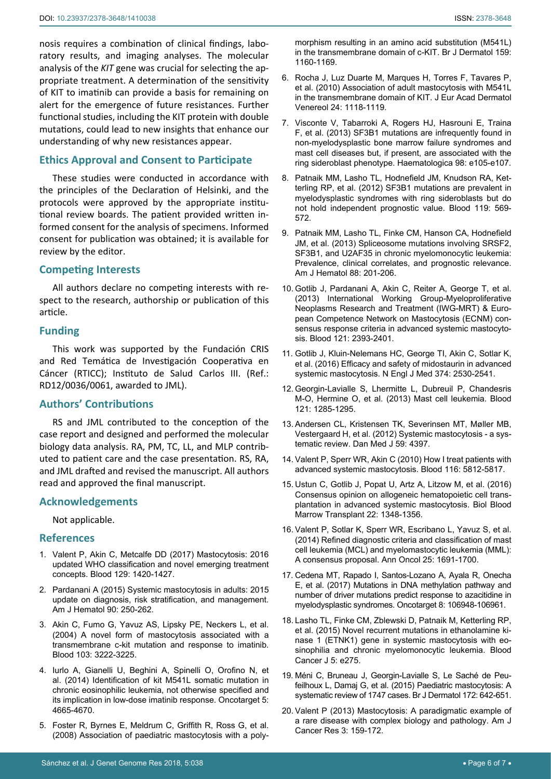nosis requires a combination of clinical findings, laboratory results, and imaging analyses. The molecular analysis of the *KIT* gene was crucial for selecting the appropriate treatment. A determination of the sensitivity of KIT to imatinib can provide a basis for remaining on alert for the emergence of future resistances. Further functional studies, including the KIT protein with double mutations, could lead to new insights that enhance our understanding of why new resistances appear.

## **Ethics Approval and Consent to Participate**

These studies were conducted in accordance with the principles of the Declaration of Helsinki, and the protocols were approved by the appropriate institutional review boards. The patient provided written informed consent for the analysis of specimens. Informed consent for publication was obtained; it is available for review by the editor.

## **Competing Interests**

All authors declare no competing interests with respect to the research, authorship or publication of this article.

#### **Funding**

This work was supported by the Fundación CRIS and Red Temática de Investigación Cooperativa en Cáncer (RTICC); Instituto de Salud Carlos III. (Ref.: RD12/0036/0061, awarded to JML).

## **Authors' Contributions**

RS and JML contributed to the conception of the case report and designed and performed the molecular biology data analysis. RA, PM, TC, LL, and MLP contributed to patient care and the case presentation. RS, RA, and JML drafted and revised the manuscript. All authors read and approved the final manuscript.

## **Acknowledgements**

Not applicable.

## **References**

- <span id="page-5-0"></span>1. [Valent P, Akin C, Metcalfe DD \(2017\) Mastocytosis: 2016](https://www.ncbi.nlm.nih.gov/pubmed/28031180)  [updated WHO classification and novel emerging treatment](https://www.ncbi.nlm.nih.gov/pubmed/28031180)  [concepts. Blood 129: 1420-1427.](https://www.ncbi.nlm.nih.gov/pubmed/28031180)
- <span id="page-5-1"></span>2. [Pardanani A \(2015\) Systemic mastocytosis in adults: 2015](https://www.ncbi.nlm.nih.gov/pubmed/25688753)  [update on diagnosis, risk stratification, and management.](https://www.ncbi.nlm.nih.gov/pubmed/25688753)  [Am J Hematol 90: 250-262.](https://www.ncbi.nlm.nih.gov/pubmed/25688753)
- <span id="page-5-2"></span>3. [Akin C, Fumo G, Yavuz AS, Lipsky PE, Neckers L, et al.](https://www.ncbi.nlm.nih.gov/pubmed/15070706)  [\(2004\) A novel form of mastocytosis associated with a](https://www.ncbi.nlm.nih.gov/pubmed/15070706)  [transmembrane c-kit mutation and response to imatinib.](https://www.ncbi.nlm.nih.gov/pubmed/15070706)  [Blood 103: 3222-3225.](https://www.ncbi.nlm.nih.gov/pubmed/15070706)
- <span id="page-5-3"></span>4. [Iurlo A, Gianelli U, Beghini A, Spinelli O, Orofino N, et](https://www.ncbi.nlm.nih.gov/pubmed/25015329)  [al. \(2014\) Identification of kit M541L somatic mutation in](https://www.ncbi.nlm.nih.gov/pubmed/25015329)  [chronic eosinophilic leukemia, not otherwise specified and](https://www.ncbi.nlm.nih.gov/pubmed/25015329)  [its implication in low-dose imatinib response. Oncotarget 5:](https://www.ncbi.nlm.nih.gov/pubmed/25015329)  [4665-4670.](https://www.ncbi.nlm.nih.gov/pubmed/25015329)
- <span id="page-5-4"></span>5. [Foster R, Byrnes E, Meldrum C, Griffith R, Ross G, et al.](https://www.ncbi.nlm.nih.gov/pubmed/18795925)  [\(2008\) Association of paediatric mastocytosis with a poly-](https://www.ncbi.nlm.nih.gov/pubmed/18795925)

[morphism resulting in an amino acid substitution \(M541L\)](https://www.ncbi.nlm.nih.gov/pubmed/18795925)  [in the transmembrane domain of c-KIT. Br J Dermatol 159:](https://www.ncbi.nlm.nih.gov/pubmed/18795925)  [1160-1169.](https://www.ncbi.nlm.nih.gov/pubmed/18795925)

- <span id="page-5-5"></span>6. [Rocha J, Luz Duarte M, Marques H, Torres F, Tavares P,](https://www.ncbi.nlm.nih.gov/pubmed/20236206)  [et al. \(2010\) Association of adult mastocytosis with M541L](https://www.ncbi.nlm.nih.gov/pubmed/20236206)  [in the transmembrane domain of KIT. J Eur Acad Dermatol](https://www.ncbi.nlm.nih.gov/pubmed/20236206)  [Venereol 24: 1118-1119.](https://www.ncbi.nlm.nih.gov/pubmed/20236206)
- <span id="page-5-6"></span>7. [Visconte V, Tabarroki A, Rogers HJ, Hasrouni E, Traina](https://www.ncbi.nlm.nih.gov/pubmed/23831919)  [F, et al. \(2013\) SF3B1 mutations are infrequently found in](https://www.ncbi.nlm.nih.gov/pubmed/23831919)  [non-myelodysplastic bone marrow failure syndromes and](https://www.ncbi.nlm.nih.gov/pubmed/23831919)  [mast cell diseases but, if present, are associated with the](https://www.ncbi.nlm.nih.gov/pubmed/23831919)  [ring sideroblast phenotype. Haematologica 98: e105-e107.](https://www.ncbi.nlm.nih.gov/pubmed/23831919)
- <span id="page-5-7"></span>8. [Patnaik MM, Lasho TL, Hodnefield JM, Knudson RA, Ket](https://www.ncbi.nlm.nih.gov/pubmed/22096241)[terling RP, et al. \(2012\) SF3B1 mutations are prevalent in](https://www.ncbi.nlm.nih.gov/pubmed/22096241)  [myelodysplastic syndromes with ring sideroblasts but do](https://www.ncbi.nlm.nih.gov/pubmed/22096241)  [not hold independent prognostic value. Blood 119: 569-](https://www.ncbi.nlm.nih.gov/pubmed/22096241) [572.](https://www.ncbi.nlm.nih.gov/pubmed/22096241)
- <span id="page-5-8"></span>9. [Patnaik MM, Lasho TL, Finke CM, Hanson CA, Hodnefield](https://www.ncbi.nlm.nih.gov/pubmed/23335386)  [JM, et al. \(2013\) Spliceosome mutations involving SRSF2,](https://www.ncbi.nlm.nih.gov/pubmed/23335386)  [SF3B1, and U2AF35 in chronic myelomonocytic leukemia:](https://www.ncbi.nlm.nih.gov/pubmed/23335386)  [Prevalence, clinical correlates, and prognostic relevance.](https://www.ncbi.nlm.nih.gov/pubmed/23335386)  [Am J Hematol 88: 201-206.](https://www.ncbi.nlm.nih.gov/pubmed/23335386)
- <span id="page-5-9"></span>10. [Gotlib J, Pardanani A, Akin C, Reiter A, George T, et al.](https://www.ncbi.nlm.nih.gov/pubmed/23325841)  [\(2013\) International Working Group-Myeloproliferative](https://www.ncbi.nlm.nih.gov/pubmed/23325841)  [Neoplasms Research and Treatment \(IWG-MRT\) & Euro](https://www.ncbi.nlm.nih.gov/pubmed/23325841)[pean Competence Network on Mastocytosis \(ECNM\) con](https://www.ncbi.nlm.nih.gov/pubmed/23325841)[sensus response criteria in advanced systemic mastocyto](https://www.ncbi.nlm.nih.gov/pubmed/23325841)[sis. Blood 121: 2393-2401.](https://www.ncbi.nlm.nih.gov/pubmed/23325841)
- <span id="page-5-10"></span>11. [Gotlib J, Kluin-Nelemans HC, George TI,](https://www.nejm.org/doi/full/10.1056/NEJMoa1513098) Akin C, Sotlar K, et al[. \(2016\) Efficacy and safety of midostaurin in advanced](https://www.nejm.org/doi/full/10.1056/NEJMoa1513098)  [systemic mastocytosis. N Engl J Med 374: 2530-2541.](https://www.nejm.org/doi/full/10.1056/NEJMoa1513098)
- <span id="page-5-11"></span>12. [Georgin-Lavialle S, Lhermitte L, Dubreuil P, Chandesris](http://www.bloodjournal.org/content/121/8/1285?sso-checked=true)  [M-O, Hermine O, et al. \(2013\) Mast cell leukemia. Blood](http://www.bloodjournal.org/content/121/8/1285?sso-checked=true)  [121: 1285-1295.](http://www.bloodjournal.org/content/121/8/1285?sso-checked=true)
- 13. [Andersen CL, Kristensen TK, Severinsen MT, Møller MB,](https://www.ncbi.nlm.nih.gov/pubmed/22381091)  [Vestergaard H, et al. \(2012\) Systemic mastocytosis - a sys](https://www.ncbi.nlm.nih.gov/pubmed/22381091)[tematic review. Dan Med J 59: 4397.](https://www.ncbi.nlm.nih.gov/pubmed/22381091)
- 14. [Valent P, Sperr WR, Akin C \(2010\) How I treat patients with](https://www.ncbi.nlm.nih.gov/pubmed/20855864)  [advanced systemic mastocytosis. Blood 116: 5812-5817.](https://www.ncbi.nlm.nih.gov/pubmed/20855864)
- 15. [Ustun C, Gotlib J, Popat U, Artz A, Litzow M, et al. \(2016\)](https://www.ncbi.nlm.nih.gov/pubmed/27131865)  [Consensus opinion on allogeneic hematopoietic cell trans](https://www.ncbi.nlm.nih.gov/pubmed/27131865)[plantation in advanced systemic mastocytosis. Biol Blood](https://www.ncbi.nlm.nih.gov/pubmed/27131865)  [Marrow Transplant 22: 1348-1356.](https://www.ncbi.nlm.nih.gov/pubmed/27131865)
- <span id="page-5-12"></span>16. [Valent P, Sotlar K, Sperr WR, Escribano L, Yavuz S, et al.](https://www.ncbi.nlm.nih.gov/pubmed/24675021)  [\(2014\) Refined diagnostic criteria and classification of mast](https://www.ncbi.nlm.nih.gov/pubmed/24675021)  [cell leukemia \(MCL\) and myelomastocytic leukemia \(MML\):](https://www.ncbi.nlm.nih.gov/pubmed/24675021)  [A consensus proposal. Ann Oncol 25: 1691-1700.](https://www.ncbi.nlm.nih.gov/pubmed/24675021)
- <span id="page-5-13"></span>17. [Cedena MT, Rapado I, Santos-Lozano A, Ayala R, Onecha](https://www.ncbi.nlm.nih.gov/pubmed/29291002)  [E, et al. \(2017\) Mutations in DNA methylation pathway and](https://www.ncbi.nlm.nih.gov/pubmed/29291002)  [number of driver mutations predict response to azacitidine in](https://www.ncbi.nlm.nih.gov/pubmed/29291002)  [myelodysplastic syndromes. Oncotarget 8: 106948-106961.](https://www.ncbi.nlm.nih.gov/pubmed/29291002)
- <span id="page-5-14"></span>18. [Lasho TL, Finke CM, Zblewski D, Patnaik M, Ketterling RP,](https://www.ncbi.nlm.nih.gov/pubmed/25615281)  [et al. \(2015\) Novel recurrent mutations in ethanolamine ki](https://www.ncbi.nlm.nih.gov/pubmed/25615281)[nase 1 \(ETNK1\) gene in systemic mastocytosis with eo](https://www.ncbi.nlm.nih.gov/pubmed/25615281)[sinophilia and chronic myelomonocytic leukemia. Blood](https://www.ncbi.nlm.nih.gov/pubmed/25615281)  [Cancer J 5: e275.](https://www.ncbi.nlm.nih.gov/pubmed/25615281)
- <span id="page-5-15"></span>19. [Méni C, Bruneau J, Georgin-Lavialle S, Le Saché de Peu](https://www.ncbi.nlm.nih.gov/pubmed/25662299)[feilhoux L, Damaj G, et al. \(2015\) Paediatric mastocytosis: A](https://www.ncbi.nlm.nih.gov/pubmed/25662299)  [systematic review of 1747 cases. Br J Dermatol 172: 642-651.](https://www.ncbi.nlm.nih.gov/pubmed/25662299)
- <span id="page-5-16"></span>20. [Valent P \(2013\) Mastocytosis: A paradigmatic example of](https://www.ncbi.nlm.nih.gov/pubmed/23593539)  [a rare disease with complex biology and pathology. Am J](https://www.ncbi.nlm.nih.gov/pubmed/23593539)  [Cancer Res 3: 159-172.](https://www.ncbi.nlm.nih.gov/pubmed/23593539)